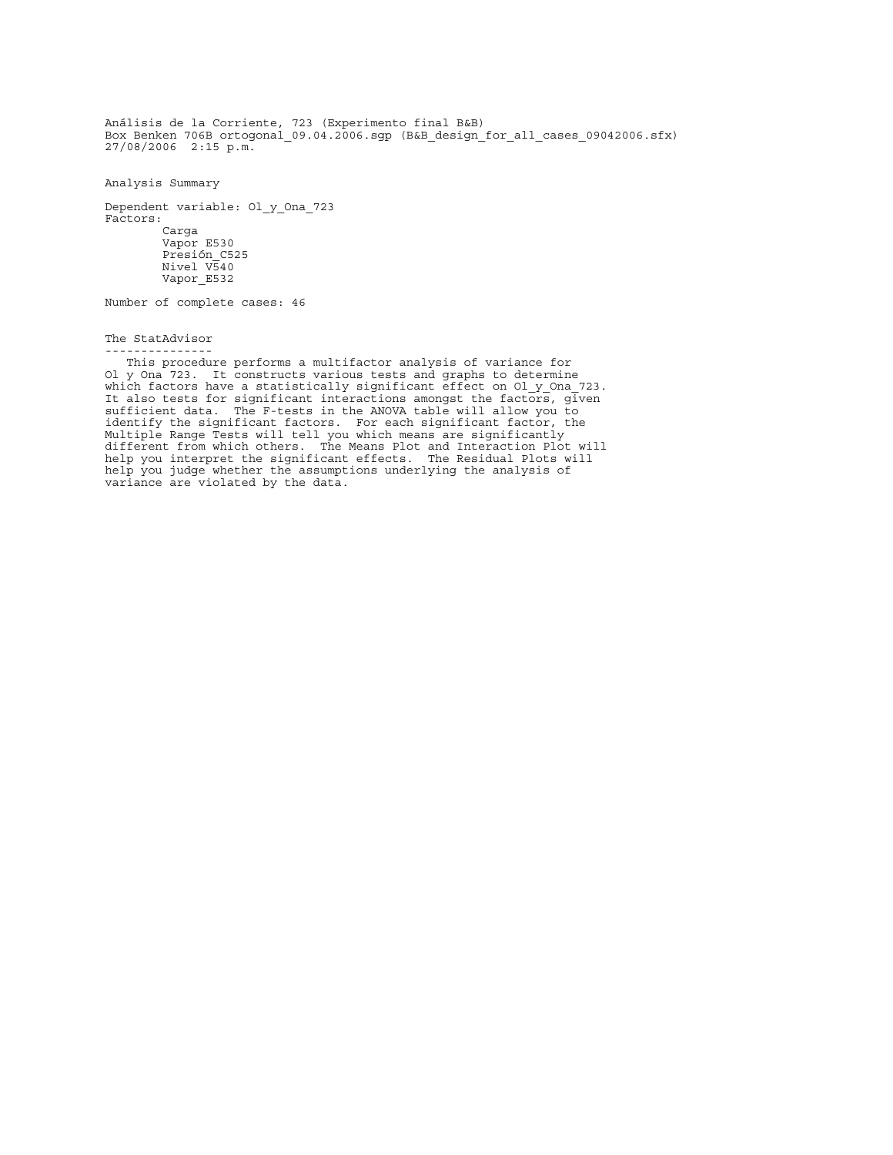Análisis de la Corriente, 723 (Experimento final B&B) Box Benken 706B ortogonal 09.04.2006.sgp (B&B design for all cases 09042006.sfx)  $27/\overline{0}8/2006$   $2:1\overline{5}$  p.m.

Analysis Summary

Dependent variable: Ol\_y\_Ona\_723 Factors: Carga Vapor E530 Presión\_C525 Nivel V540 Vapor\_E532

Number of complete cases: 46

The StatAdvisor ---------------

 This procedure performs a multifactor analysis of variance for Ol y Ona 723. It constructs various tests and graphs to determine which factors have a statistically significant effect on Ol y Ona 723. It also tests for significant interactions amongst the factors, given sufficient data. The F-tests in the ANOVA table will allow you to identify the significant factors. For each significant factor, the Multiple Range Tests will tell you which means are significantly different from which others. The Means Plot and Interaction Plot will help you interpret the significant effects. The Residual Plots will help you judge whether the assumptions underlying the analysis of variance are violated by the data.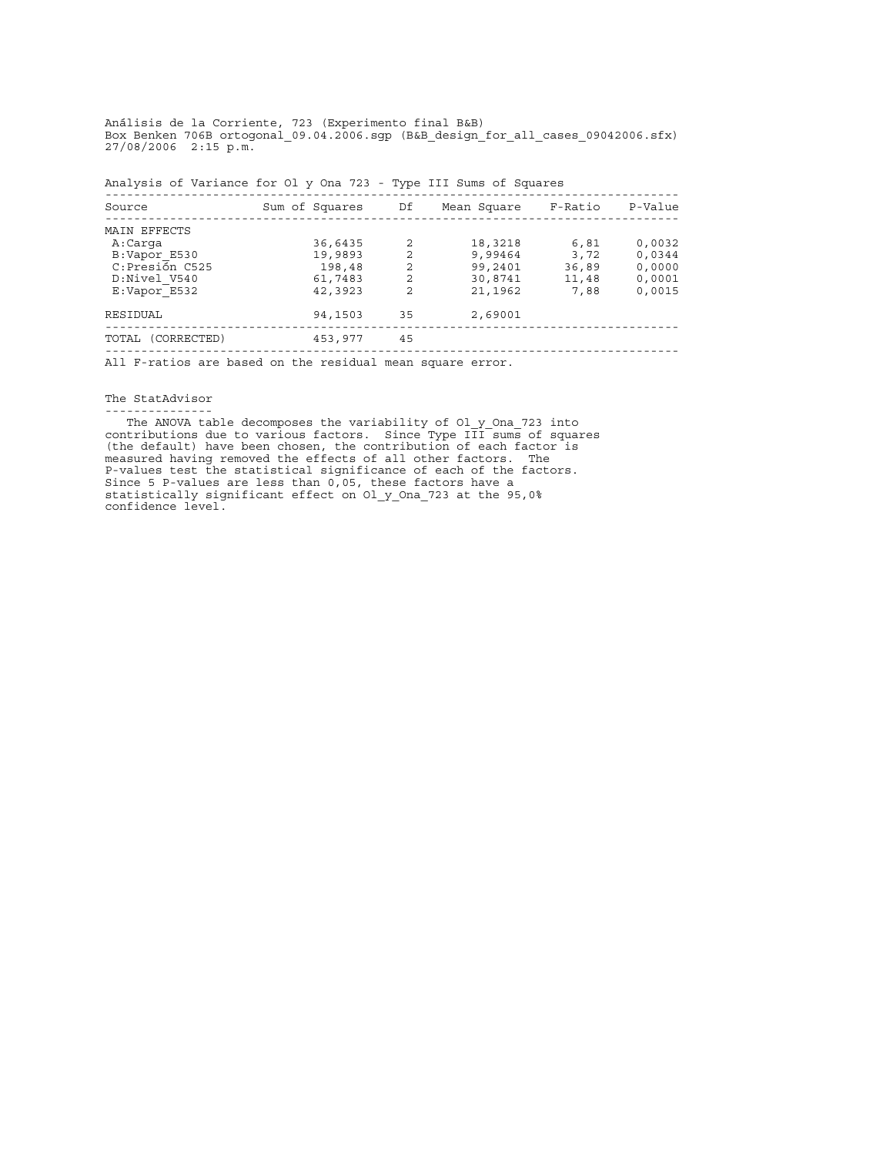Análisis de la Corriente, 723 (Experimento final B&B) Box Benken 706B ortogonal 09.04.2006.sgp (B&B design for all cases 09042006.sfx)  $27/\overline{0}8/2006$   $2:1\overline{5}$  p.m.

Analysis of Variance for Ol\_y\_Ona\_723 - Type III Sums of Squares

| Source                                                          | Sum of Squares | Df | Mean Square | F-Ratio | P-Value |
|-----------------------------------------------------------------|----------------|----|-------------|---------|---------|
| MAIN EFFECTS                                                    |                |    |             |         |         |
| A:Carga                                                         | 36,6435        | 2  | 18,3218     | 6,81    | 0,0032  |
| B:Vapor E530                                                    | 19,9893        | 2  | 9,99464     | 3,72    | 0,0344  |
| C:Presión C525                                                  | 198,48         | 2  | 99,2401     | 36,89   | 0,0000  |
| D:Nivel V540                                                    | 61,7483        | 2  | 30,8741     | 11,48   | 0,0001  |
| E:Vapor E532                                                    | 42,3923        | 2  | 21,1962     | 7,88    | 0,0015  |
| RESIDUAL                                                        | 94,1503        | 35 | 2,69001     |         |         |
| TOTAL (CORRECTED)                                               | 453,977        | 45 |             |         |         |
| 그는 그 사람들은 그 사람들을 하고 있는 것을 하고 있다. 그는 그 사람들은 그 사람들을 지르는 것을 하고 있다. |                |    |             |         |         |

All F-ratios are based on the residual mean square error.

The StatAdvisor ---------------

The ANOVA table decomposes the variability of Ol y Ona 723 into contributions due to various factors. Since Type III sums of squares (the default) have been chosen, the contribution of each factor is measured having removed the effects of all other factors. The P-values test the statistical significance of each of the factors. Since 5 P-values are less than 0,05, these factors have a statistically significant effect on Ol\_y\_Ona\_723 at the 95,0% confidence level.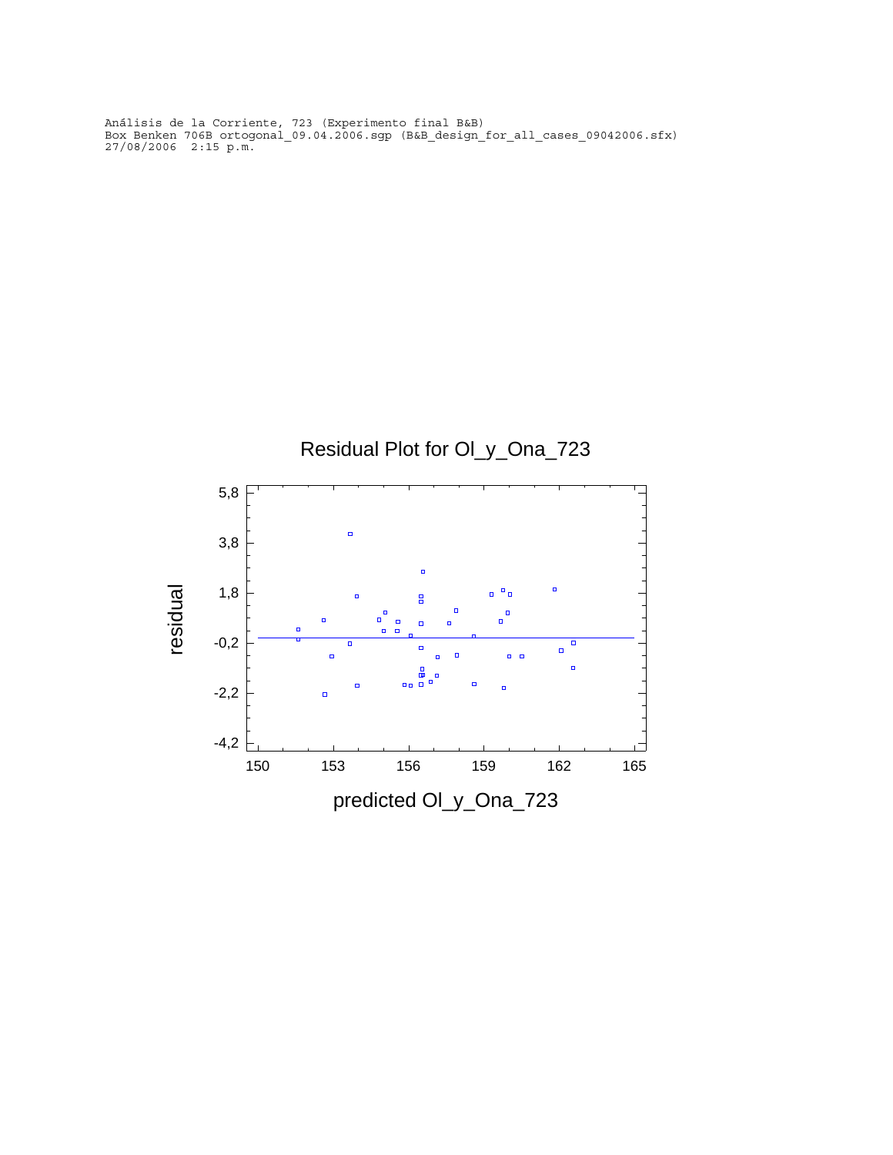Análisis de la Corriente, 723 (Experimento final B&B) Box Benken 706B ortogonal 09.04.2006.sgp (B&B design for all cases 09042006.sfx)  $27/\overline{0}8/2006$   $2:1\overline{5}$  p.m.